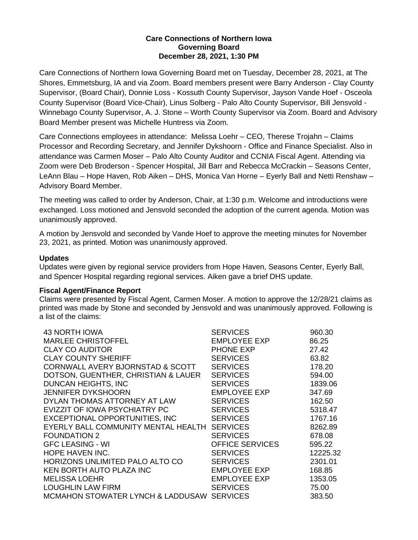# **Care Connections of Northern Iowa Governing Board December 28, 2021, 1:30 PM**

Care Connections of Northern Iowa Governing Board met on Tuesday, December 28, 2021, at The Shores, Emmetsburg, IA and via Zoom. Board members present were Barry Anderson - Clay County Supervisor, (Board Chair), Donnie Loss - Kossuth County Supervisor, Jayson Vande Hoef - Osceola County Supervisor (Board Vice-Chair), Linus Solberg - Palo Alto County Supervisor, Bill Jensvold - Winnebago County Supervisor, A. J. Stone – Worth County Supervisor via Zoom. Board and Advisory Board Member present was Michelle Huntress via Zoom.

Care Connections employees in attendance: Melissa Loehr – CEO, Therese Trojahn – Claims Processor and Recording Secretary, and Jennifer Dykshoorn - Office and Finance Specialist. Also in attendance was Carmen Moser – Palo Alto County Auditor and CCNIA Fiscal Agent. Attending via Zoom were Deb Broderson - Spencer Hospital, Jill Barr and Rebecca McCrackin – Seasons Center, LeAnn Blau – Hope Haven, Rob Aiken – DHS, Monica Van Horne – Eyerly Ball and Netti Renshaw – Advisory Board Member.

The meeting was called to order by Anderson, Chair, at 1:30 p.m. Welcome and introductions were exchanged. Loss motioned and Jensvold seconded the adoption of the current agenda. Motion was unanimously approved.

A motion by Jensvold and seconded by Vande Hoef to approve the meeting minutes for November 23, 2021, as printed. Motion was unanimously approved.

# **Updates**

Updates were given by regional service providers from Hope Haven, Seasons Center, Eyerly Ball, and Spencer Hospital regarding regional services. Aiken gave a brief DHS update.

### **Fiscal Agent/Finance Report**

Claims were presented by Fiscal Agent, Carmen Moser. A motion to approve the 12/28/21 claims as printed was made by Stone and seconded by Jensvold and was unanimously approved. Following is a list of the claims:

| 43 NORTH IOWA                                | <b>SERVICES</b>     | 960.30   |
|----------------------------------------------|---------------------|----------|
| <b>MARLEE CHRISTOFFEL</b>                    | EMPLOYEE EXP        | 86.25    |
| <b>CLAY CO AUDITOR</b>                       | PHONE EXP           | 27.42    |
| <b>CLAY COUNTY SHERIFF</b>                   | <b>SERVICES</b>     | 63.82    |
| CORNWALL AVERY BJORNSTAD & SCOTT             | <b>SERVICES</b>     | 178.20   |
| DOTSON, GUENTHER, CHRISTIAN & LAUER          | <b>SERVICES</b>     | 594.00   |
| DUNCAN HEIGHTS, INC                          | <b>SERVICES</b>     | 1839.06  |
| <b>JENNIFER DYKSHOORN</b>                    | EMPLOYEE EXP        | 347.69   |
| DYLAN THOMAS ATTORNEY AT LAW                 | <b>SERVICES</b>     | 162.50   |
| EVIZZIT OF IOWA PSYCHIATRY PC                | <b>SERVICES</b>     | 5318.47  |
| EXCEPTIONAL OPPORTUNITIES, INC               | <b>SERVICES</b>     | 1767.16  |
| EYERLY BALL COMMUNITY MENTAL HEALTH SERVICES |                     | 8262.89  |
| <b>FOUNDATION 2</b>                          | <b>SERVICES</b>     | 678.08   |
| <b>GFC LEASING - WI</b>                      | OFFICE SERVICES     | 595.22   |
| <b>HOPE HAVEN INC.</b>                       | <b>SERVICES</b>     | 12225.32 |
| HORIZONS UNLIMITED PALO ALTO CO              | <b>SERVICES</b>     | 2301.01  |
| <b>KEN BORTH AUTO PLAZA INC</b>              | <b>EMPLOYEE EXP</b> | 168.85   |
| <b>MELISSA LOEHR</b>                         | EMPLOYEE EXP        | 1353.05  |
| <b>LOUGHLIN LAW FIRM</b>                     | <b>SERVICES</b>     | 75.00    |
| MCMAHON STOWATER LYNCH & LADDUSAW SERVICES   |                     | 383.50   |